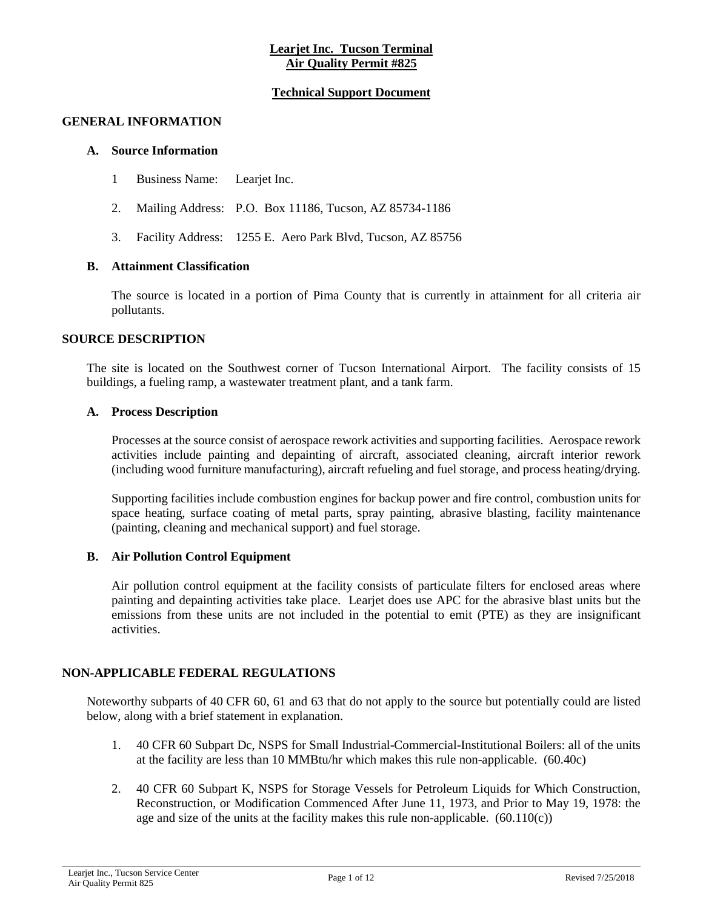## **Learjet Inc. Tucson Terminal Air Quality Permit #825**

## **Technical Support Document**

#### **GENERAL INFORMATION**

#### **A. Source Information**

- 1 Business Name: Learjet Inc.
- 2. Mailing Address: P.O. Box 11186, Tucson, AZ 85734-1186
- 3. Facility Address: 1255 E. Aero Park Blvd, Tucson, AZ 85756

#### **B. Attainment Classification**

The source is located in a portion of Pima County that is currently in attainment for all criteria air pollutants.

#### **SOURCE DESCRIPTION**

The site is located on the Southwest corner of Tucson International Airport. The facility consists of 15 buildings, a fueling ramp, a wastewater treatment plant, and a tank farm.

#### **A. Process Description**

Processes at the source consist of aerospace rework activities and supporting facilities. Aerospace rework activities include painting and depainting of aircraft, associated cleaning, aircraft interior rework (including wood furniture manufacturing), aircraft refueling and fuel storage, and process heating/drying.

Supporting facilities include combustion engines for backup power and fire control, combustion units for space heating, surface coating of metal parts, spray painting, abrasive blasting, facility maintenance (painting, cleaning and mechanical support) and fuel storage.

#### **B. Air Pollution Control Equipment**

Air pollution control equipment at the facility consists of particulate filters for enclosed areas where painting and depainting activities take place. Learjet does use APC for the abrasive blast units but the emissions from these units are not included in the potential to emit (PTE) as they are insignificant activities.

#### **NON-APPLICABLE FEDERAL REGULATIONS**

Noteworthy subparts of 40 CFR 60, 61 and 63 that do not apply to the source but potentially could are listed below, along with a brief statement in explanation.

- 1. 40 CFR 60 Subpart Dc, NSPS for Small Industrial-Commercial-Institutional Boilers: all of the units at the facility are less than 10 MMBtu/hr which makes this rule non-applicable. (60.40c)
- 2. 40 CFR 60 Subpart K, NSPS for Storage Vessels for Petroleum Liquids for Which Construction, Reconstruction, or Modification Commenced After June 11, 1973, and Prior to May 19, 1978: the age and size of the units at the facility makes this rule non-applicable.  $(60.110(c))$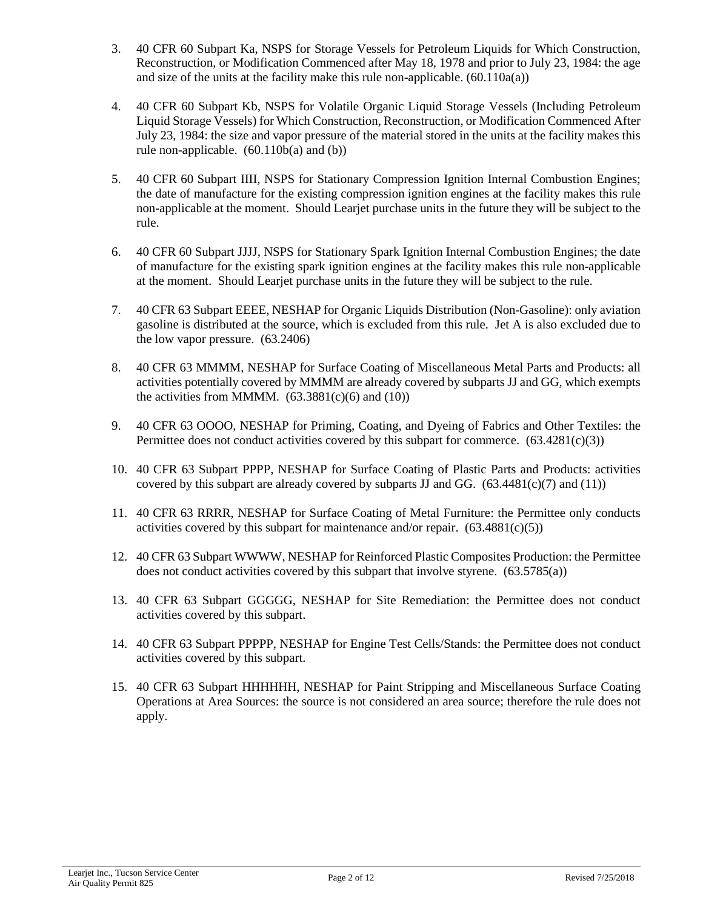- 3. 40 CFR 60 Subpart Ka, NSPS for Storage Vessels for Petroleum Liquids for Which Construction, Reconstruction, or Modification Commenced after May 18, 1978 and prior to July 23, 1984: the age and size of the units at the facility make this rule non-applicable.  $(60.110a(a))$
- 4. 40 CFR 60 Subpart Kb, NSPS for Volatile Organic Liquid Storage Vessels (Including Petroleum Liquid Storage Vessels) for Which Construction, Reconstruction, or Modification Commenced After July 23, 1984: the size and vapor pressure of the material stored in the units at the facility makes this rule non-applicable.  $(60.110b(a)$  and  $(b))$
- 5. 40 CFR 60 Subpart IIII, NSPS for Stationary Compression Ignition Internal Combustion Engines; the date of manufacture for the existing compression ignition engines at the facility makes this rule non-applicable at the moment. Should Learjet purchase units in the future they will be subject to the rule.
- 6. 40 CFR 60 Subpart JJJJ, NSPS for Stationary Spark Ignition Internal Combustion Engines; the date of manufacture for the existing spark ignition engines at the facility makes this rule non-applicable at the moment. Should Learjet purchase units in the future they will be subject to the rule.
- 7. 40 CFR 63 Subpart EEEE, NESHAP for Organic Liquids Distribution (Non-Gasoline): only aviation gasoline is distributed at the source, which is excluded from this rule. Jet A is also excluded due to the low vapor pressure. (63.2406)
- 8. 40 CFR 63 MMMM, NESHAP for Surface Coating of Miscellaneous Metal Parts and Products: all activities potentially covered by MMMM are already covered by subparts JJ and GG, which exempts the activities from MMMM.  $(63.3881(c)(6)$  and  $(10))$
- 9. 40 CFR 63 OOOO, NESHAP for Priming, Coating, and Dyeing of Fabrics and Other Textiles: the Permittee does not conduct activities covered by this subpart for commerce.  $(63.4281(c)(3))$
- 10. 40 CFR 63 Subpart PPPP, NESHAP for Surface Coating of Plastic Parts and Products: activities covered by this subpart are already covered by subparts JJ and GG.  $(63.4481(c)(7)$  and  $(11))$
- 11. 40 CFR 63 RRRR, NESHAP for Surface Coating of Metal Furniture: the Permittee only conducts activities covered by this subpart for maintenance and/or repair.  $(63.4881(c)(5))$
- 12. 40 CFR 63 Subpart WWWW, NESHAP for Reinforced Plastic Composites Production: the Permittee does not conduct activities covered by this subpart that involve styrene. (63.5785(a))
- 13. 40 CFR 63 Subpart GGGGG, NESHAP for Site Remediation: the Permittee does not conduct activities covered by this subpart.
- 14. 40 CFR 63 Subpart PPPPP, NESHAP for Engine Test Cells/Stands: the Permittee does not conduct activities covered by this subpart.
- 15. 40 CFR 63 Subpart HHHHHH, NESHAP for Paint Stripping and Miscellaneous Surface Coating Operations at Area Sources: the source is not considered an area source; therefore the rule does not apply.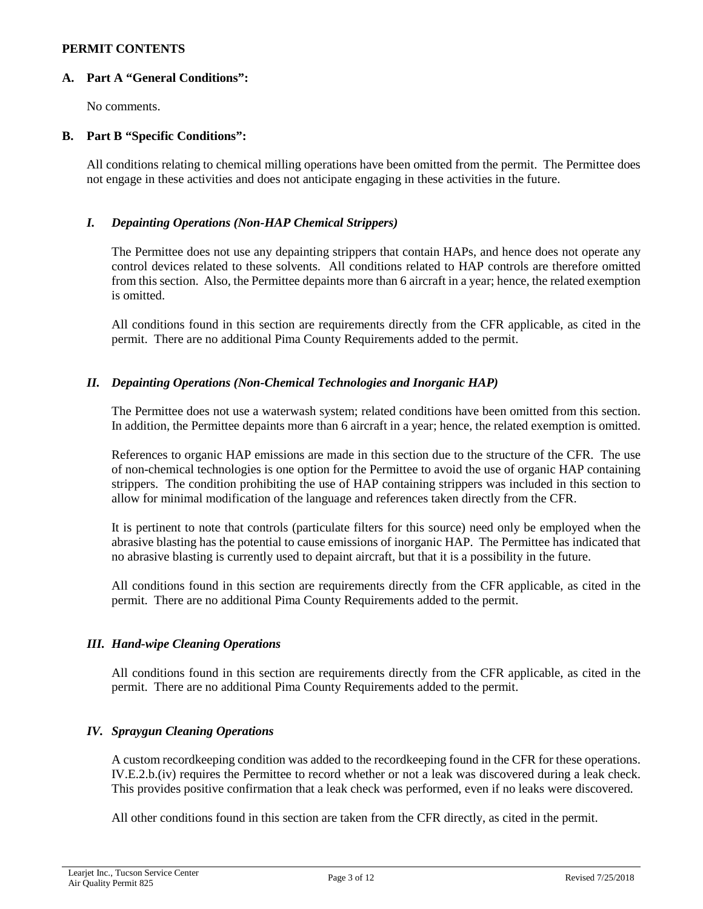#### **PERMIT CONTENTS**

#### **A. Part A "General Conditions":**

No comments.

## **B. Part B "Specific Conditions":**

All conditions relating to chemical milling operations have been omitted from the permit. The Permittee does not engage in these activities and does not anticipate engaging in these activities in the future.

## *I. Depainting Operations (Non-HAP Chemical Strippers)*

The Permittee does not use any depainting strippers that contain HAPs, and hence does not operate any control devices related to these solvents. All conditions related to HAP controls are therefore omitted from this section. Also, the Permittee depaints more than 6 aircraft in a year; hence, the related exemption is omitted.

All conditions found in this section are requirements directly from the CFR applicable, as cited in the permit. There are no additional Pima County Requirements added to the permit.

## *II. Depainting Operations (Non-Chemical Technologies and Inorganic HAP)*

The Permittee does not use a waterwash system; related conditions have been omitted from this section. In addition, the Permittee depaints more than 6 aircraft in a year; hence, the related exemption is omitted.

References to organic HAP emissions are made in this section due to the structure of the CFR. The use of non-chemical technologies is one option for the Permittee to avoid the use of organic HAP containing strippers. The condition prohibiting the use of HAP containing strippers was included in this section to allow for minimal modification of the language and references taken directly from the CFR.

It is pertinent to note that controls (particulate filters for this source) need only be employed when the abrasive blasting has the potential to cause emissions of inorganic HAP. The Permittee has indicated that no abrasive blasting is currently used to depaint aircraft, but that it is a possibility in the future.

All conditions found in this section are requirements directly from the CFR applicable, as cited in the permit. There are no additional Pima County Requirements added to the permit.

## *III. Hand-wipe Cleaning Operations*

All conditions found in this section are requirements directly from the CFR applicable, as cited in the permit. There are no additional Pima County Requirements added to the permit.

#### *IV. Spraygun Cleaning Operations*

A custom recordkeeping condition was added to the recordkeeping found in the CFR for these operations. IV.E.2.b.(iv) requires the Permittee to record whether or not a leak was discovered during a leak check. This provides positive confirmation that a leak check was performed, even if no leaks were discovered.

All other conditions found in this section are taken from the CFR directly, as cited in the permit.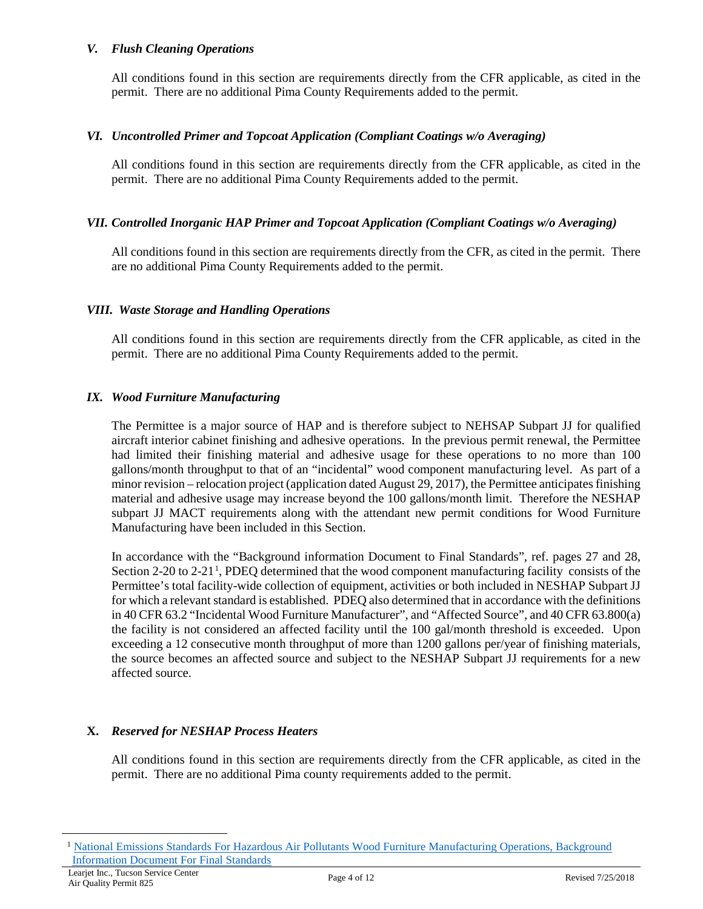#### *V. Flush Cleaning Operations*

All conditions found in this section are requirements directly from the CFR applicable, as cited in the permit. There are no additional Pima County Requirements added to the permit.

## *VI. Uncontrolled Primer and Topcoat Application (Compliant Coatings w/o Averaging)*

All conditions found in this section are requirements directly from the CFR applicable, as cited in the permit. There are no additional Pima County Requirements added to the permit.

## *VII. Controlled Inorganic HAP Primer and Topcoat Application (Compliant Coatings w/o Averaging)*

All conditions found in this section are requirements directly from the CFR, as cited in the permit. There are no additional Pima County Requirements added to the permit.

## *VIII. Waste Storage and Handling Operations*

All conditions found in this section are requirements directly from the CFR applicable, as cited in the permit. There are no additional Pima County Requirements added to the permit.

## *IX. Wood Furniture Manufacturing*

The Permittee is a major source of HAP and is therefore subject to NEHSAP Subpart JJ for qualified aircraft interior cabinet finishing and adhesive operations. In the previous permit renewal, the Permittee had limited their finishing material and adhesive usage for these operations to no more than 100 gallons/month throughput to that of an "incidental" wood component manufacturing level. As part of a minor revision – relocation project (application dated August 29, 2017), the Permittee anticipates finishing material and adhesive usage may increase beyond the 100 gallons/month limit. Therefore the NESHAP subpart JJ MACT requirements along with the attendant new permit conditions for Wood Furniture Manufacturing have been included in this Section.

In accordance with the "Background information Document to Final Standards", ref. pages 27 and 28, Section 2-20 to 2-2[1](#page-3-0)<sup>1</sup>, PDEQ determined that the wood component manufacturing facility consists of the Permittee's total facility-wide collection of equipment, activities or both included in NESHAP Subpart JJ for which a relevant standard is established. PDEQ also determined that in accordance with the definitions in 40 CFR 63.2 "Incidental Wood Furniture Manufacturer", and "Affected Source", and 40 CFR 63.800(a) the facility is not considered an affected facility until the 100 gal/month threshold is exceeded. Upon exceeding a 12 consecutive month throughput of more than 1200 gallons per/year of finishing materials, the source becomes an affected source and subject to the NESHAP Subpart JJ requirements for a new affected source.

## **X.** *Reserved for NESHAP Process Heaters*

All conditions found in this section are requirements directly from the CFR applicable, as cited in the permit. There are no additional Pima county requirements added to the permit.

<span id="page-3-0"></span><sup>&</sup>lt;sup>1</sup> National Emissions Standards For Hazardous Air Pollutants Wood Furniture Manufacturing Operations, Background [Information Document For Final Standards](https://nepis.epa.gov/Exe/ZyNET.exe/2000WM2C.TXT?ZyActionD=ZyDocument&Client=EPA&Index=1995+Thru+1999&Docs=&Query=&Time=&EndTime=&SearchMethod=1&TocRestrict=n&Toc=&TocEntry=&QField=&QFieldYear=&QFieldMonth=&QFieldDay=&IntQFieldOp=0&ExtQFieldOp=0&XmlQuery=&File=D%3A%5Czyfiles%5CIndex%20Data%5C95thru99%5CTxt%5C00000018%5C2000WM2C.txt&User=ANONYMOUS&Password=anonymous&SortMethod=h%7C-&MaximumDocuments=1&FuzzyDegree=0&ImageQuality=r75g8/r75g8/x150y150g16/i425&Display=hpfr&DefSeekPage=x&SearchBack=ZyActionL&Back=ZyActionS&BackDesc=Results%20page&MaximumPages=1&ZyEntry=1&SeekPage=x&ZyPURL)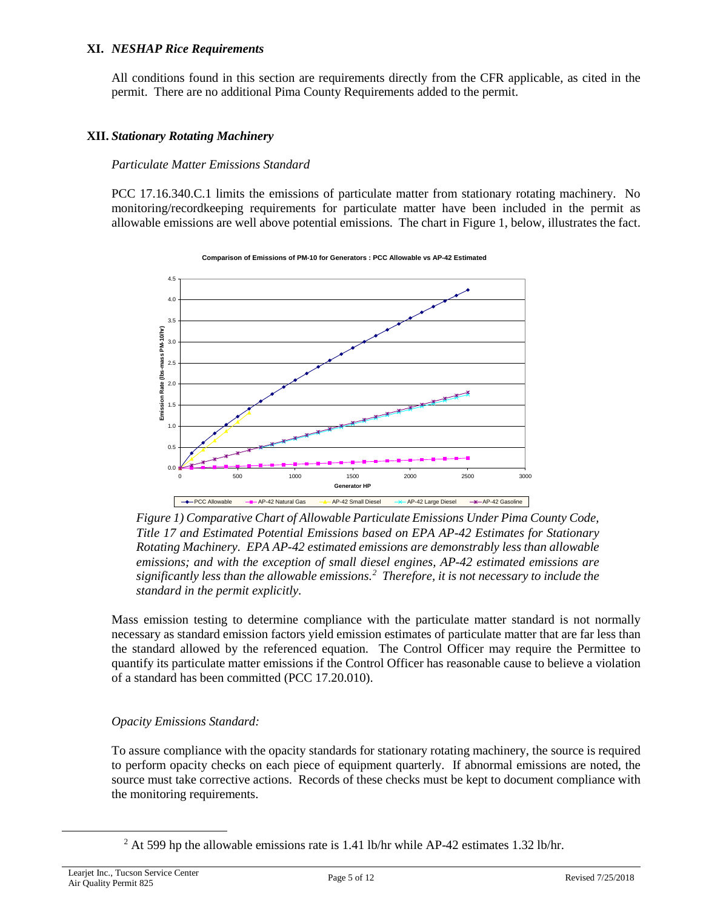#### **XI.** *NESHAP Rice Requirements*

All conditions found in this section are requirements directly from the CFR applicable, as cited in the permit. There are no additional Pima County Requirements added to the permit.

## **XII.** *Stationary Rotating Machinery*

#### *Particulate Matter Emissions Standard*

PCC 17.16.340.C.1 limits the emissions of particulate matter from stationary rotating machinery. No monitoring/recordkeeping requirements for particulate matter have been included in the permit as allowable emissions are well above potential emissions. The chart in Figure 1, below, illustrates the fact.



#### **Comparison of Emissions of PM-10 for Generators : PCC Allowable vs AP-42 Estimated**

*Figure 1) Comparative Chart of Allowable Particulate Emissions Under Pima County Code, Title 17 and Estimated Potential Emissions based on EPA AP-42 Estimates for Stationary Rotating Machinery. EPA AP-42 estimated emissions are demonstrably less than allowable emissions; and with the exception of small diesel engines, AP-42 estimated emissions are significantly less than the allowable emissions.[2](#page-4-0) Therefore, it is not necessary to include the standard in the permit explicitly.*

Mass emission testing to determine compliance with the particulate matter standard is not normally necessary as standard emission factors yield emission estimates of particulate matter that are far less than the standard allowed by the referenced equation. The Control Officer may require the Permittee to quantify its particulate matter emissions if the Control Officer has reasonable cause to believe a violation of a standard has been committed (PCC 17.20.010).

## *Opacity Emissions Standard:*

To assure compliance with the opacity standards for stationary rotating machinery, the source is required to perform opacity checks on each piece of equipment quarterly. If abnormal emissions are noted, the source must take corrective actions. Records of these checks must be kept to document compliance with the monitoring requirements.

<span id="page-4-0"></span><sup>&</sup>lt;sup>2</sup> At 599 hp the allowable emissions rate is 1.41 lb/hr while AP-42 estimates 1.32 lb/hr.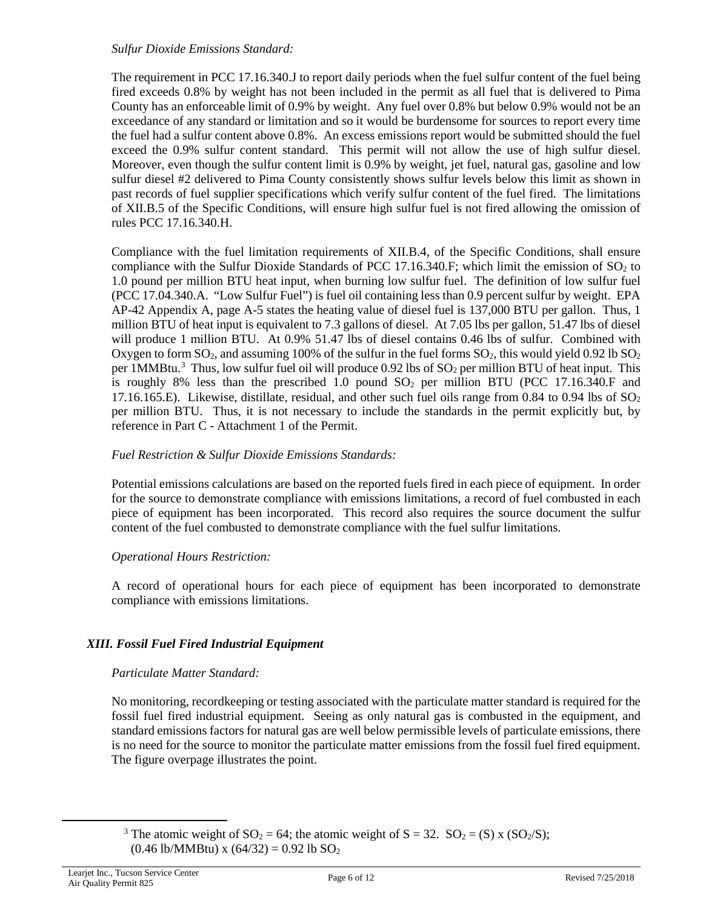#### *Sulfur Dioxide Emissions Standard:*

The requirement in PCC 17.16.340.J to report daily periods when the fuel sulfur content of the fuel being fired exceeds 0.8% by weight has not been included in the permit as all fuel that is delivered to Pima County has an enforceable limit of 0.9% by weight. Any fuel over 0.8% but below 0.9% would not be an exceedance of any standard or limitation and so it would be burdensome for sources to report every time the fuel had a sulfur content above 0.8%. An excess emissions report would be submitted should the fuel exceed the 0.9% sulfur content standard. This permit will not allow the use of high sulfur diesel. Moreover, even though the sulfur content limit is 0.9% by weight, jet fuel, natural gas, gasoline and low sulfur diesel #2 delivered to Pima County consistently shows sulfur levels below this limit as shown in past records of fuel supplier specifications which verify sulfur content of the fuel fired. The limitations of XII.B.5 of the Specific Conditions, will ensure high sulfur fuel is not fired allowing the omission of rules PCC 17.16.340.H.

Compliance with the fuel limitation requirements of XII.B.4, of the Specific Conditions, shall ensure compliance with the Sulfur Dioxide Standards of PCC 17.16.340.F; which limit the emission of  $SO_2$  to 1.0 pound per million BTU heat input, when burning low sulfur fuel. The definition of low sulfur fuel (PCC 17.04.340.A. "Low Sulfur Fuel") is fuel oil containing less than 0.9 percent sulfur by weight. EPA AP-42 Appendix A, page A-5 states the heating value of diesel fuel is 137,000 BTU per gallon. Thus, 1 million BTU of heat input is equivalent to 7.3 gallons of diesel. At 7.05 lbs per gallon, 51.47 lbs of diesel will produce 1 million BTU. At 0.9% 51.47 lbs of diesel contains 0.46 lbs of sulfur. Combined with Oxygen to form  $SO_2$ , and assuming 100% of the sulfur in the fuel forms  $SO_2$ , this would yield 0.92 lb  $SO_2$ per 1MMBtu.<sup>[3](#page-5-0)</sup> Thus, low sulfur fuel oil will produce 0.92 lbs of  $SO_2$  per million BTU of heat input. This is roughly 8% less than the prescribed 1.0 pound  $SO<sub>2</sub>$  per million BTU (PCC 17.16.340.F and 17.16.165.E). Likewise, distillate, residual, and other such fuel oils range from 0.84 to 0.94 lbs of  $SO_2$ per million BTU. Thus, it is not necessary to include the standards in the permit explicitly but, by reference in Part C - Attachment 1 of the Permit.

## *Fuel Restriction & Sulfur Dioxide Emissions Standards:*

Potential emissions calculations are based on the reported fuels fired in each piece of equipment. In order for the source to demonstrate compliance with emissions limitations, a record of fuel combusted in each piece of equipment has been incorporated. This record also requires the source document the sulfur content of the fuel combusted to demonstrate compliance with the fuel sulfur limitations.

#### *Operational Hours Restriction:*

A record of operational hours for each piece of equipment has been incorporated to demonstrate compliance with emissions limitations.

## *XIII. Fossil Fuel Fired Industrial Equipment*

#### *Particulate Matter Standard:*

No monitoring, recordkeeping or testing associated with the particulate matter standard is required for the fossil fuel fired industrial equipment. Seeing as only natural gas is combusted in the equipment, and standard emissions factors for natural gas are well below permissible levels of particulate emissions, there is no need for the source to monitor the particulate matter emissions from the fossil fuel fired equipment. The figure overpage illustrates the point.

<span id="page-5-0"></span><sup>3</sup> The atomic weight of SO<sub>2</sub> = 64; the atomic weight of S = 32. SO<sub>2</sub> = (S) x (SO<sub>2</sub>/S);  $(0.46 \text{ lb/MM}$ Btu) x  $(64/32) = 0.92 \text{ lb }$  SO<sub>2</sub>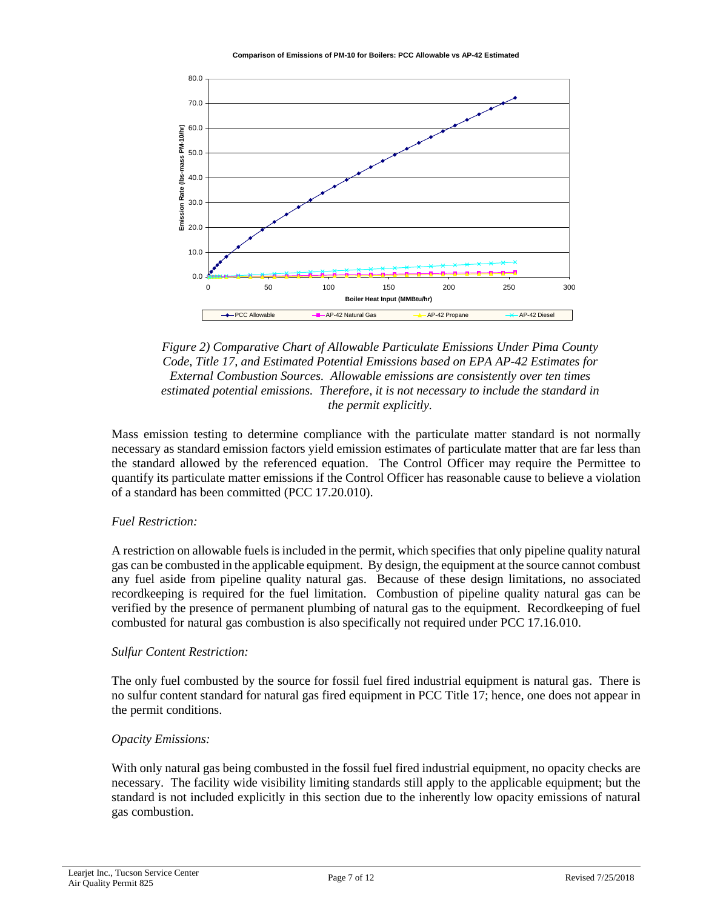

*Figure 2) Comparative Chart of Allowable Particulate Emissions Under Pima County Code, Title 17, and Estimated Potential Emissions based on EPA AP-42 Estimates for External Combustion Sources. Allowable emissions are consistently over ten times estimated potential emissions. Therefore, it is not necessary to include the standard in the permit explicitly.*

Mass emission testing to determine compliance with the particulate matter standard is not normally necessary as standard emission factors yield emission estimates of particulate matter that are far less than the standard allowed by the referenced equation. The Control Officer may require the Permittee to quantify its particulate matter emissions if the Control Officer has reasonable cause to believe a violation of a standard has been committed (PCC 17.20.010).

## *Fuel Restriction:*

A restriction on allowable fuels is included in the permit, which specifies that only pipeline quality natural gas can be combusted in the applicable equipment. By design, the equipment at the source cannot combust any fuel aside from pipeline quality natural gas. Because of these design limitations, no associated recordkeeping is required for the fuel limitation. Combustion of pipeline quality natural gas can be verified by the presence of permanent plumbing of natural gas to the equipment. Recordkeeping of fuel combusted for natural gas combustion is also specifically not required under PCC 17.16.010.

#### *Sulfur Content Restriction:*

The only fuel combusted by the source for fossil fuel fired industrial equipment is natural gas. There is no sulfur content standard for natural gas fired equipment in PCC Title 17; hence, one does not appear in the permit conditions.

#### *Opacity Emissions:*

With only natural gas being combusted in the fossil fuel fired industrial equipment, no opacity checks are necessary. The facility wide visibility limiting standards still apply to the applicable equipment; but the standard is not included explicitly in this section due to the inherently low opacity emissions of natural gas combustion.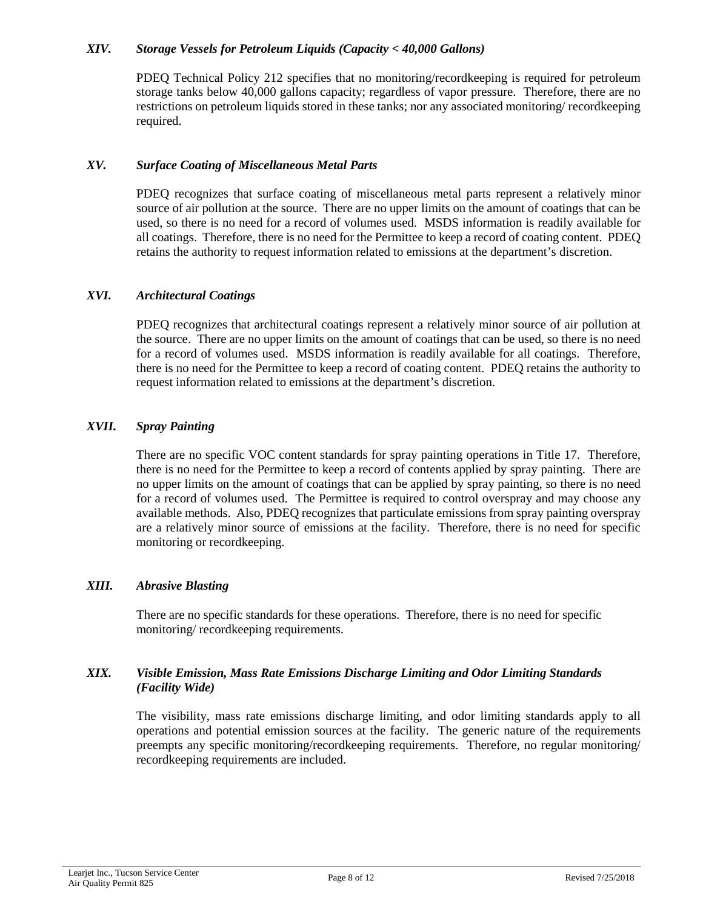#### *XIV. Storage Vessels for Petroleum Liquids (Capacity < 40,000 Gallons)*

PDEQ Technical Policy 212 specifies that no monitoring/recordkeeping is required for petroleum storage tanks below 40,000 gallons capacity; regardless of vapor pressure. Therefore, there are no restrictions on petroleum liquids stored in these tanks; nor any associated monitoring/ recordkeeping required.

## *XV. Surface Coating of Miscellaneous Metal Parts*

PDEQ recognizes that surface coating of miscellaneous metal parts represent a relatively minor source of air pollution at the source. There are no upper limits on the amount of coatings that can be used, so there is no need for a record of volumes used. MSDS information is readily available for all coatings. Therefore, there is no need for the Permittee to keep a record of coating content. PDEQ retains the authority to request information related to emissions at the department's discretion.

## *XVI. Architectural Coatings*

PDEQ recognizes that architectural coatings represent a relatively minor source of air pollution at the source. There are no upper limits on the amount of coatings that can be used, so there is no need for a record of volumes used. MSDS information is readily available for all coatings. Therefore, there is no need for the Permittee to keep a record of coating content. PDEQ retains the authority to request information related to emissions at the department's discretion.

## *XVII. Spray Painting*

There are no specific VOC content standards for spray painting operations in Title 17. Therefore, there is no need for the Permittee to keep a record of contents applied by spray painting. There are no upper limits on the amount of coatings that can be applied by spray painting, so there is no need for a record of volumes used. The Permittee is required to control overspray and may choose any available methods. Also, PDEQ recognizes that particulate emissions from spray painting overspray are a relatively minor source of emissions at the facility. Therefore, there is no need for specific monitoring or recordkeeping.

#### *XIII. Abrasive Blasting*

There are no specific standards for these operations. Therefore, there is no need for specific monitoring/ recordkeeping requirements.

## *XIX. Visible Emission, Mass Rate Emissions Discharge Limiting and Odor Limiting Standards (Facility Wide)*

The visibility, mass rate emissions discharge limiting, and odor limiting standards apply to all operations and potential emission sources at the facility. The generic nature of the requirements preempts any specific monitoring/recordkeeping requirements. Therefore, no regular monitoring/ recordkeeping requirements are included.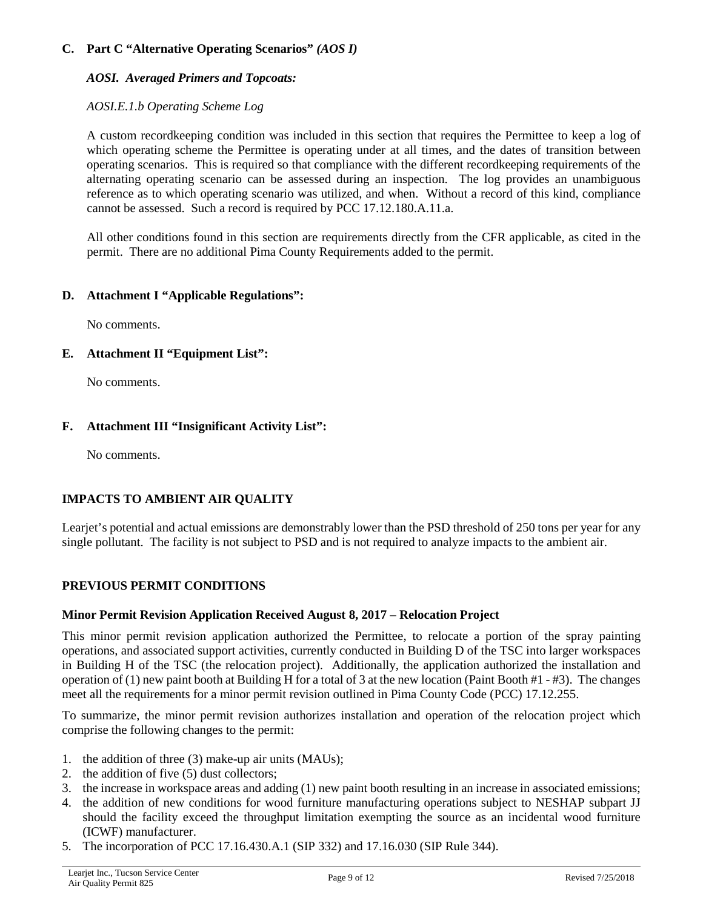## **C. Part C "Alternative Operating Scenarios"** *(AOS I)*

## *AOSI. Averaged Primers and Topcoats:*

## *AOSI.E.1.b Operating Scheme Log*

A custom recordkeeping condition was included in this section that requires the Permittee to keep a log of which operating scheme the Permittee is operating under at all times, and the dates of transition between operating scenarios. This is required so that compliance with the different recordkeeping requirements of the alternating operating scenario can be assessed during an inspection. The log provides an unambiguous reference as to which operating scenario was utilized, and when. Without a record of this kind, compliance cannot be assessed. Such a record is required by PCC 17.12.180.A.11.a.

All other conditions found in this section are requirements directly from the CFR applicable, as cited in the permit. There are no additional Pima County Requirements added to the permit.

#### **D. Attachment I "Applicable Regulations":**

No comments.

## **E. Attachment II "Equipment List":**

No comments.

## **F. Attachment III "Insignificant Activity List":**

No comments.

## **IMPACTS TO AMBIENT AIR QUALITY**

Learjet's potential and actual emissions are demonstrably lower than the PSD threshold of 250 tons per year for any single pollutant. The facility is not subject to PSD and is not required to analyze impacts to the ambient air.

## **PREVIOUS PERMIT CONDITIONS**

#### **Minor Permit Revision Application Received August 8, 2017 – Relocation Project**

This minor permit revision application authorized the Permittee, to relocate a portion of the spray painting operations, and associated support activities, currently conducted in Building D of the TSC into larger workspaces in Building H of the TSC (the relocation project). Additionally, the application authorized the installation and operation of (1) new paint booth at Building H for a total of 3 at the new location (Paint Booth #1 - #3). The changes meet all the requirements for a minor permit revision outlined in Pima County Code (PCC) 17.12.255.

To summarize, the minor permit revision authorizes installation and operation of the relocation project which comprise the following changes to the permit:

- 1. the addition of three (3) make-up air units (MAUs);
- 2. the addition of five (5) dust collectors;
- 3. the increase in workspace areas and adding (1) new paint booth resulting in an increase in associated emissions;
- 4. the addition of new conditions for wood furniture manufacturing operations subject to NESHAP subpart JJ should the facility exceed the throughput limitation exempting the source as an incidental wood furniture (ICWF) manufacturer.
- 5. The incorporation of PCC 17.16.430.A.1 (SIP 332) and 17.16.030 (SIP Rule 344).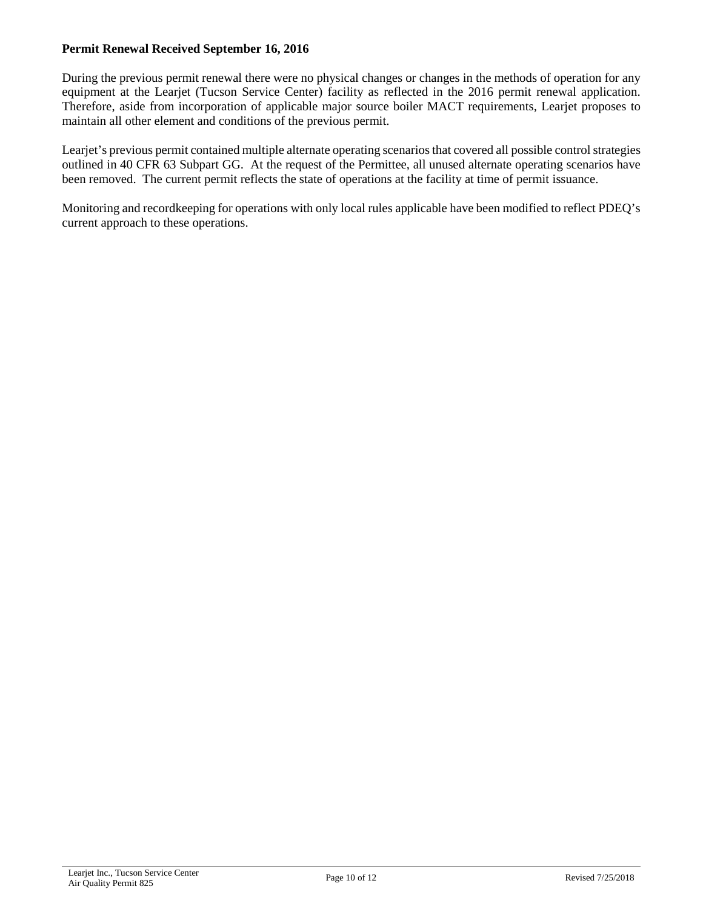#### **Permit Renewal Received September 16, 2016**

During the previous permit renewal there were no physical changes or changes in the methods of operation for any equipment at the Learjet (Tucson Service Center) facility as reflected in the 2016 permit renewal application. Therefore, aside from incorporation of applicable major source boiler MACT requirements, Learjet proposes to maintain all other element and conditions of the previous permit.

Learjet's previous permit contained multiple alternate operating scenarios that covered all possible control strategies outlined in 40 CFR 63 Subpart GG. At the request of the Permittee, all unused alternate operating scenarios have been removed. The current permit reflects the state of operations at the facility at time of permit issuance.

Monitoring and recordkeeping for operations with only local rules applicable have been modified to reflect PDEQ's current approach to these operations.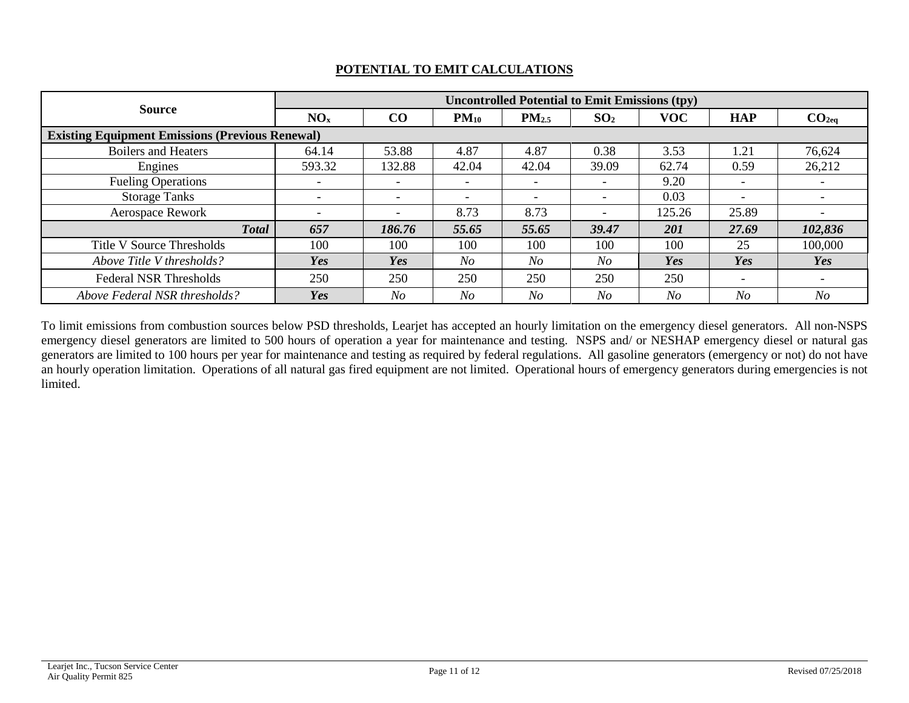| <b>Source</b>                                          | <b>Uncontrolled Potential to Emit Emissions (tpy)</b> |                          |                          |                          |                          |            |                          |                          |  |  |  |  |  |
|--------------------------------------------------------|-------------------------------------------------------|--------------------------|--------------------------|--------------------------|--------------------------|------------|--------------------------|--------------------------|--|--|--|--|--|
|                                                        | NO <sub>x</sub>                                       | CO                       | $PM_{10}$                | PM <sub>2.5</sub>        | SO <sub>2</sub>          | <b>VOC</b> | <b>HAP</b>               | CO <sub>2eq</sub>        |  |  |  |  |  |
| <b>Existing Equipment Emissions (Previous Renewal)</b> |                                                       |                          |                          |                          |                          |            |                          |                          |  |  |  |  |  |
| <b>Boilers and Heaters</b>                             | 64.14                                                 | 53.88                    | 4.87                     | 4.87                     | 0.38                     | 3.53       | 1.21                     | 76,624                   |  |  |  |  |  |
| Engines                                                | 593.32                                                | 132.88                   | 42.04                    | 42.04                    | 39.09                    | 62.74      | 0.59                     | 26,212                   |  |  |  |  |  |
| <b>Fueling Operations</b>                              | $\overline{\phantom{a}}$                              | $\overline{\phantom{a}}$ | $\overline{\phantom{a}}$ | $\overline{\phantom{a}}$ | $\overline{\phantom{a}}$ | 9.20       | -                        |                          |  |  |  |  |  |
| <b>Storage Tanks</b>                                   | $\overline{\phantom{a}}$                              | $\overline{\phantom{0}}$ | $\overline{\phantom{a}}$ | $\qquad \qquad$          |                          | 0.03       | $\overline{\phantom{a}}$ |                          |  |  |  |  |  |
| <b>Aerospace Rework</b>                                | $\overline{\phantom{a}}$                              | $\overline{\phantom{a}}$ | 8.73                     | 8.73                     | $\overline{\phantom{a}}$ | 125.26     | 25.89                    |                          |  |  |  |  |  |
| <b>Total</b>                                           | 657                                                   | 186.76                   | 55.65                    | 55.65                    | 39.47                    | 201        | 27.69                    | 102,836                  |  |  |  |  |  |
| Title V Source Thresholds                              | 100                                                   | 100                      | 100                      | 100                      | 100                      | 100        | 25                       | 100,000                  |  |  |  |  |  |
| Above Title V thresholds?                              | Yes                                                   | Yes                      | N <sub>O</sub>           | N <sub>O</sub>           | No                       | Yes        | Yes                      | Yes                      |  |  |  |  |  |
| <b>Federal NSR Thresholds</b>                          | 250                                                   | 250                      | 250                      | 250                      | 250                      | 250        | $\overline{\phantom{a}}$ | $\overline{\phantom{a}}$ |  |  |  |  |  |
| Above Federal NSR thresholds?                          | Yes                                                   | No                       | No                       | No                       | No                       | No         | N <sub>O</sub>           | No                       |  |  |  |  |  |

# **POTENTIAL TO EMIT CALCULATIONS**

To limit emissions from combustion sources below PSD thresholds, Learjet has accepted an hourly limitation on the emergency diesel generators. All non-NSPS emergency diesel generators are limited to 500 hours of operation a year for maintenance and testing. NSPS and/ or NESHAP emergency diesel or natural gas generators are limited to 100 hours per year for maintenance and testing as required by federal regulations. All gasoline generators (emergency or not) do not have an hourly operation limitation. Operations of all natural gas fired equipment are not limited. Operational hours of emergency generators during emergencies is not limited.